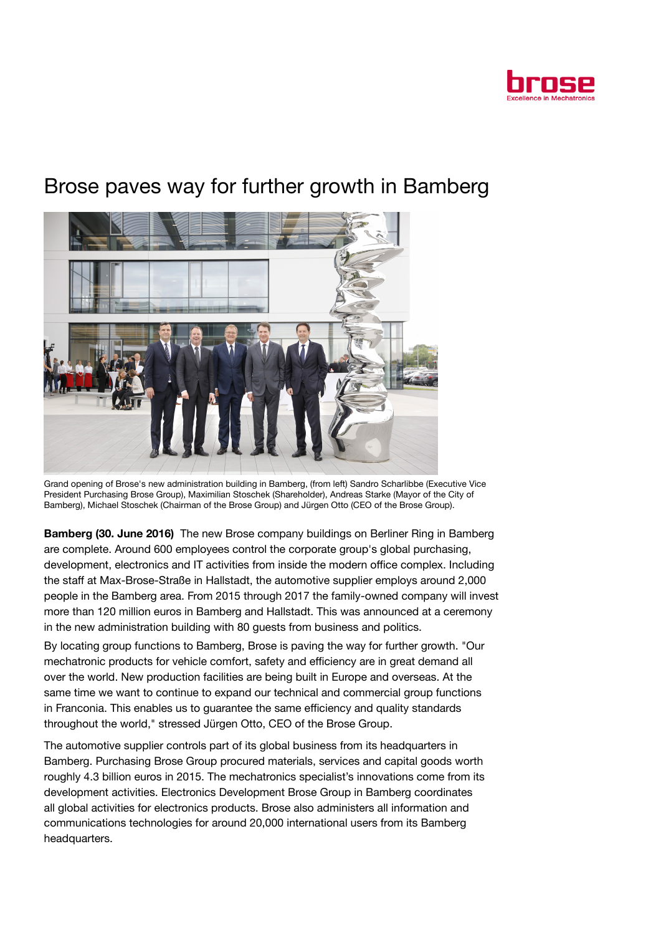

## Brose paves way for further growth in Bamberg



Grand opening of Brose's new administration building in Bamberg, (from left) Sandro Scharlibbe (Executive Vice President Purchasing Brose Group), Maximilian Stoschek (Shareholder), Andreas Starke (Mayor of the City of Bamberg), Michael Stoschek (Chairman of the Brose Group) and Jürgen Otto (CEO of the Brose Group).

Bamberg (30. June 2016) The new Brose company buildings on Berliner Ring in Bamberg are complete. Around 600 employees control the corporate group's global purchasing, development, electronics and IT activities from inside the modern office complex. Including the staff at Max-Brose-Straße in Hallstadt, the automotive supplier employs around 2,000 people in the Bamberg area. From 2015 through 2017 the family-owned company will invest more than 120 million euros in Bamberg and Hallstadt. This was announced at a ceremony in the new administration building with 80 guests from business and politics.

By locating group functions to Bamberg, Brose is paving the way for further growth. "Our mechatronic products for vehicle comfort, safety and efficiency are in great demand all over the world. New production facilities are being built in Europe and overseas. At the same time we want to continue to expand our technical and commercial group functions in Franconia. This enables us to guarantee the same efficiency and quality standards throughout the world," stressed Jürgen Otto, CEO of the Brose Group.

The automotive supplier controls part of its global business from its headquarters in Bamberg. Purchasing Brose Group procured materials, services and capital goods worth roughly 4.3 billion euros in 2015. The mechatronics specialist's innovations come from its development activities. Electronics Development Brose Group in Bamberg coordinates all global activities for electronics products. Brose also administers all information and communications technologies for around 20,000 international users from its Bamberg headquarters.